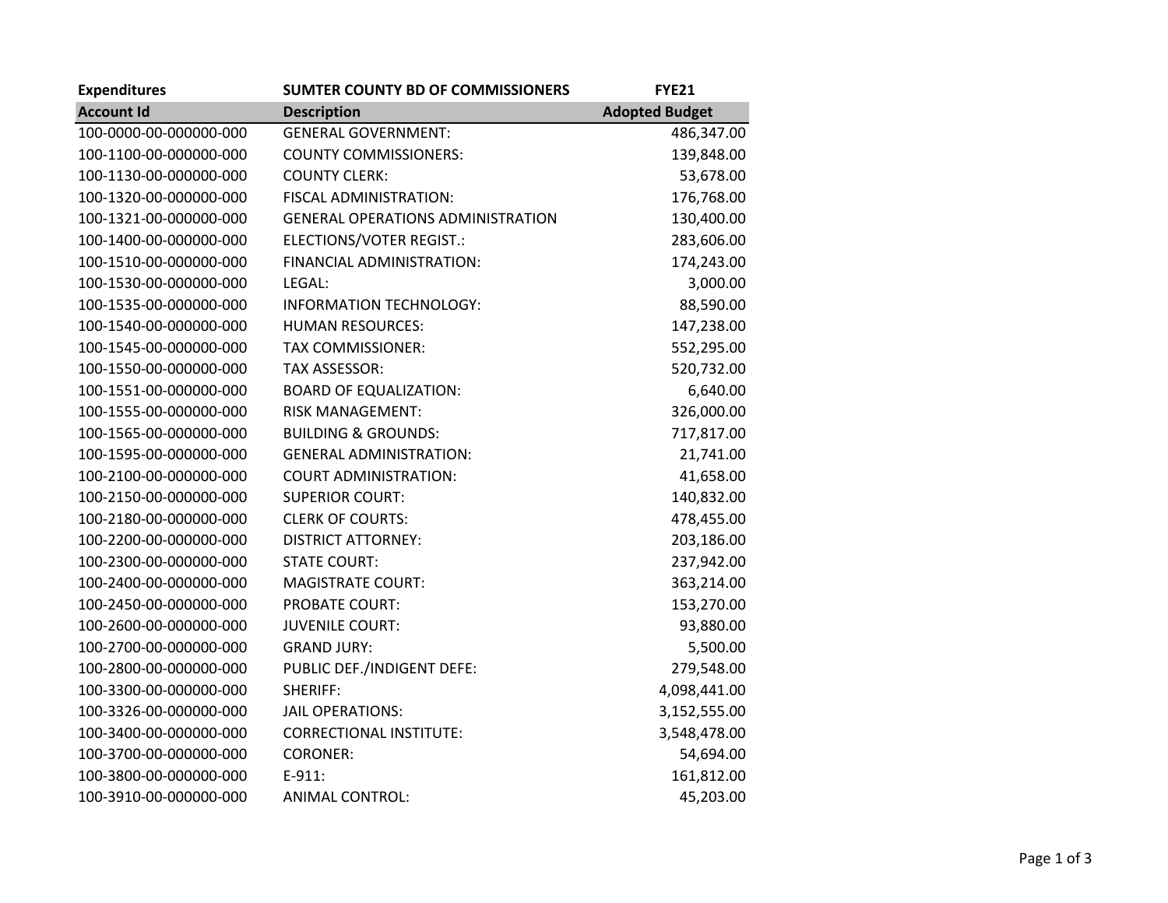| <b>Expenditures</b>    | <b>SUMTER COUNTY BD OF COMMISSIONERS</b> | <b>FYE21</b>          |
|------------------------|------------------------------------------|-----------------------|
| <b>Account Id</b>      | <b>Description</b>                       | <b>Adopted Budget</b> |
| 100-0000-00-000000-000 | <b>GENERAL GOVERNMENT:</b>               | 486,347.00            |
| 100-1100-00-000000-000 | <b>COUNTY COMMISSIONERS:</b>             | 139,848.00            |
| 100-1130-00-000000-000 | <b>COUNTY CLERK:</b>                     | 53,678.00             |
| 100-1320-00-000000-000 | FISCAL ADMINISTRATION:                   | 176,768.00            |
| 100-1321-00-000000-000 | <b>GENERAL OPERATIONS ADMINISTRATION</b> | 130,400.00            |
| 100-1400-00-000000-000 | ELECTIONS/VOTER REGIST.:                 | 283,606.00            |
| 100-1510-00-000000-000 | FINANCIAL ADMINISTRATION:                | 174,243.00            |
| 100-1530-00-000000-000 | LEGAL:                                   | 3,000.00              |
| 100-1535-00-000000-000 | INFORMATION TECHNOLOGY:                  | 88,590.00             |
| 100-1540-00-000000-000 | <b>HUMAN RESOURCES:</b>                  | 147,238.00            |
| 100-1545-00-000000-000 | <b>TAX COMMISSIONER:</b>                 | 552,295.00            |
| 100-1550-00-000000-000 | TAX ASSESSOR:                            | 520,732.00            |
| 100-1551-00-000000-000 | <b>BOARD OF EQUALIZATION:</b>            | 6,640.00              |
| 100-1555-00-000000-000 | <b>RISK MANAGEMENT:</b>                  | 326,000.00            |
| 100-1565-00-000000-000 | <b>BUILDING &amp; GROUNDS:</b>           | 717,817.00            |
| 100-1595-00-000000-000 | <b>GENERAL ADMINISTRATION:</b>           | 21,741.00             |
| 100-2100-00-000000-000 | <b>COURT ADMINISTRATION:</b>             | 41,658.00             |
| 100-2150-00-000000-000 | <b>SUPERIOR COURT:</b>                   | 140,832.00            |
| 100-2180-00-000000-000 | <b>CLERK OF COURTS:</b>                  | 478,455.00            |
| 100-2200-00-000000-000 | <b>DISTRICT ATTORNEY:</b>                | 203,186.00            |
| 100-2300-00-000000-000 | <b>STATE COURT:</b>                      | 237,942.00            |
| 100-2400-00-000000-000 | <b>MAGISTRATE COURT:</b>                 | 363,214.00            |
| 100-2450-00-000000-000 | PROBATE COURT:                           | 153,270.00            |
| 100-2600-00-000000-000 | <b>JUVENILE COURT:</b>                   | 93,880.00             |
| 100-2700-00-000000-000 | <b>GRAND JURY:</b>                       | 5,500.00              |
| 100-2800-00-000000-000 | PUBLIC DEF./INDIGENT DEFE:               | 279,548.00            |
| 100-3300-00-000000-000 | SHERIFF:                                 | 4,098,441.00          |
| 100-3326-00-000000-000 | JAIL OPERATIONS:                         | 3,152,555.00          |
| 100-3400-00-000000-000 | <b>CORRECTIONAL INSTITUTE:</b>           | 3,548,478.00          |
| 100-3700-00-000000-000 | <b>CORONER:</b>                          | 54,694.00             |
| 100-3800-00-000000-000 | $E-911:$                                 | 161,812.00            |
| 100-3910-00-000000-000 | ANIMAL CONTROL:                          | 45,203.00             |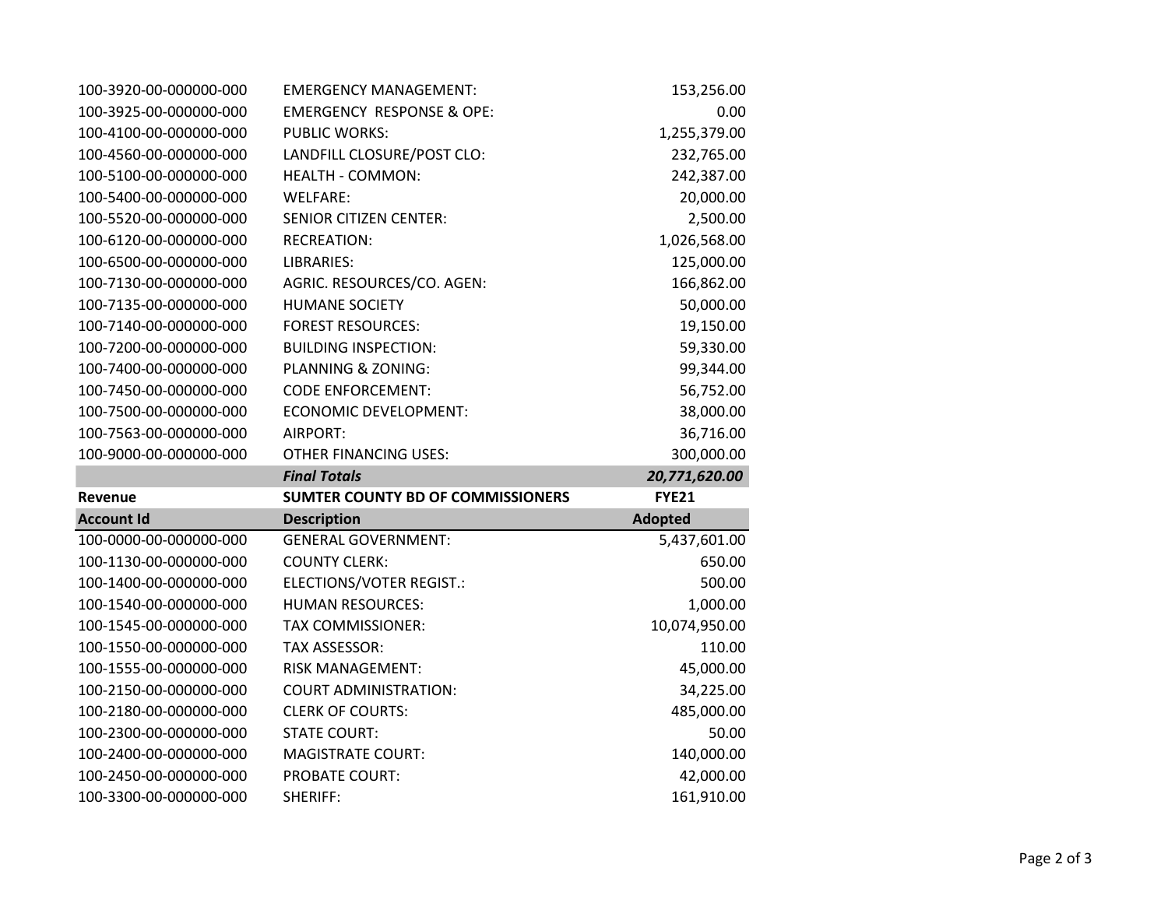| 100-3920-00-000000-000 | <b>EMERGENCY MANAGEMENT:</b>             | 153,256.00     |
|------------------------|------------------------------------------|----------------|
| 100-3925-00-000000-000 | <b>EMERGENCY RESPONSE &amp; OPE:</b>     | 0.00           |
| 100-4100-00-000000-000 | <b>PUBLIC WORKS:</b>                     | 1,255,379.00   |
| 100-4560-00-000000-000 | LANDFILL CLOSURE/POST CLO:               | 232,765.00     |
| 100-5100-00-000000-000 | <b>HEALTH - COMMON:</b>                  | 242,387.00     |
| 100-5400-00-000000-000 | WELFARE:                                 | 20,000.00      |
| 100-5520-00-000000-000 | <b>SENIOR CITIZEN CENTER:</b>            | 2,500.00       |
| 100-6120-00-000000-000 | <b>RECREATION:</b>                       | 1,026,568.00   |
| 100-6500-00-000000-000 | LIBRARIES:                               | 125,000.00     |
| 100-7130-00-000000-000 | AGRIC. RESOURCES/CO. AGEN:               | 166,862.00     |
| 100-7135-00-000000-000 | <b>HUMANE SOCIETY</b>                    | 50,000.00      |
| 100-7140-00-000000-000 | <b>FOREST RESOURCES:</b>                 | 19,150.00      |
| 100-7200-00-000000-000 | <b>BUILDING INSPECTION:</b>              | 59,330.00      |
| 100-7400-00-000000-000 | PLANNING & ZONING:                       | 99,344.00      |
| 100-7450-00-000000-000 | <b>CODE ENFORCEMENT:</b>                 | 56,752.00      |
| 100-7500-00-000000-000 | <b>ECONOMIC DEVELOPMENT:</b>             | 38,000.00      |
| 100-7563-00-000000-000 | AIRPORT:                                 | 36,716.00      |
| 100-9000-00-000000-000 | <b>OTHER FINANCING USES:</b>             | 300,000.00     |
|                        |                                          |                |
|                        | <b>Final Totals</b>                      | 20,771,620.00  |
| Revenue                | <b>SUMTER COUNTY BD OF COMMISSIONERS</b> | <b>FYE21</b>   |
| <b>Account Id</b>      | <b>Description</b>                       | <b>Adopted</b> |
| 100-0000-00-000000-000 | <b>GENERAL GOVERNMENT:</b>               | 5,437,601.00   |
| 100-1130-00-000000-000 | <b>COUNTY CLERK:</b>                     | 650.00         |
| 100-1400-00-000000-000 | ELECTIONS/VOTER REGIST.:                 | 500.00         |
| 100-1540-00-000000-000 | <b>HUMAN RESOURCES:</b>                  | 1,000.00       |
| 100-1545-00-000000-000 | <b>TAX COMMISSIONER:</b>                 | 10,074,950.00  |
| 100-1550-00-000000-000 | <b>TAX ASSESSOR:</b>                     | 110.00         |
| 100-1555-00-000000-000 | <b>RISK MANAGEMENT:</b>                  | 45,000.00      |
| 100-2150-00-000000-000 | <b>COURT ADMINISTRATION:</b>             | 34,225.00      |
| 100-2180-00-000000-000 | <b>CLERK OF COURTS:</b>                  | 485,000.00     |
| 100-2300-00-000000-000 | <b>STATE COURT:</b>                      | 50.00          |
| 100-2400-00-000000-000 | <b>MAGISTRATE COURT:</b>                 | 140,000.00     |
| 100-2450-00-000000-000 | <b>PROBATE COURT:</b>                    | 42,000.00      |